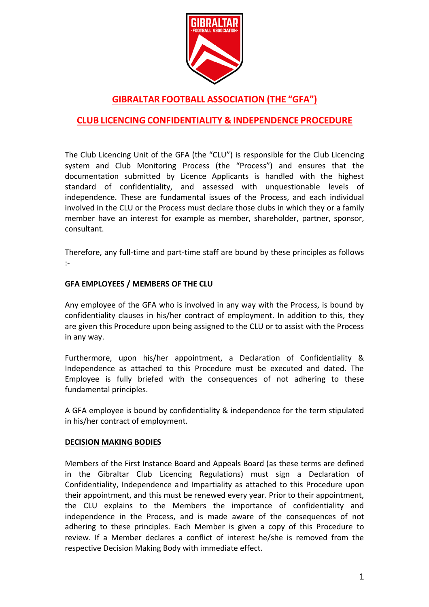

# **GIBRALTAR FOOTBALL ASSOCIATION (THE "GFA")**

## **CLUB LICENCING CONFIDENTIALITY & INDEPENDENCE PROCEDURE**

The Club Licencing Unit of the GFA (the "CLU") is responsible for the Club Licencing system and Club Monitoring Process (the "Process") and ensures that the documentation submitted by Licence Applicants is handled with the highest standard of confidentiality, and assessed with unquestionable levels of independence. These are fundamental issues of the Process, and each individual involved in the CLU or the Process must declare those clubs in which they or a family member have an interest for example as member, shareholder, partner, sponsor, consultant.

Therefore, any full-time and part-time staff are bound by these principles as follows :-

### **GFA EMPLOYEES / MEMBERS OF THE CLU**

Any employee of the GFA who is involved in any way with the Process, is bound by confidentiality clauses in his/her contract of employment. In addition to this, they are given this Procedure upon being assigned to the CLU or to assist with the Process in any way.

Furthermore, upon his/her appointment, a Declaration of Confidentiality & Independence as attached to this Procedure must be executed and dated. The Employee is fully briefed with the consequences of not adhering to these fundamental principles.

A GFA employee is bound by confidentiality & independence for the term stipulated in his/her contract of employment.

#### **DECISION MAKING BODIES**

Members of the First Instance Board and Appeals Board (as these terms are defined in the Gibraltar Club Licencing Regulations) must sign a Declaration of Confidentiality, Independence and Impartiality as attached to this Procedure upon their appointment, and this must be renewed every year. Prior to their appointment, the CLU explains to the Members the importance of confidentiality and independence in the Process, and is made aware of the consequences of not adhering to these principles. Each Member is given a copy of this Procedure to review. If a Member declares a conflict of interest he/she is removed from the respective Decision Making Body with immediate effect.